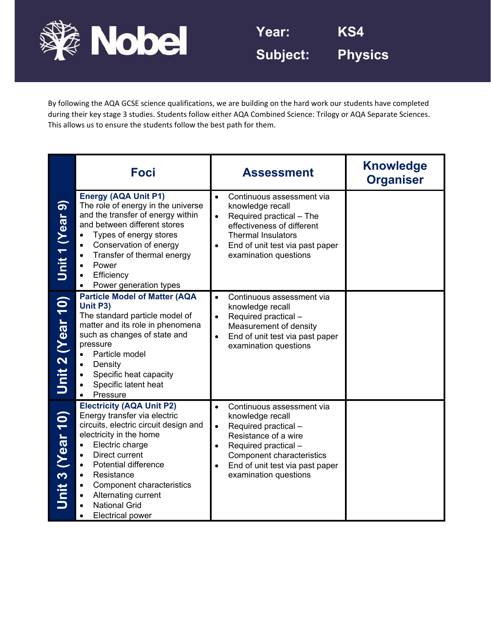

By following the AQA GCSE science qualifications, we are building on the hard work our students have completed during their key stage 3 studies. Students follow either AQA Combined Science: Trilogy or AQA Separate Sciences. This allows us to ensure the students follow the best path for them.

|                  | <b>Foci</b>                                                                                                                                                                                                                                                                                                                   | <b>Assessment</b>                                                                                                                                                                                                                                                  | <b>Knowledge</b><br><b>Organiser</b> |
|------------------|-------------------------------------------------------------------------------------------------------------------------------------------------------------------------------------------------------------------------------------------------------------------------------------------------------------------------------|--------------------------------------------------------------------------------------------------------------------------------------------------------------------------------------------------------------------------------------------------------------------|--------------------------------------|
| Unit 1 (Year 9)  | <b>Energy (AQA Unit P1)</b><br>The role of energy in the universe<br>and the transfer of energy within<br>and between different stores<br>Types of energy stores<br>Conservation of energy<br>Transfer of thermal energy<br>Power<br>Efficiency<br>Power generation types                                                     | Continuous assessment via<br>$\bullet$<br>knowledge recall<br>Required practical - The<br>effectiveness of different<br><b>Thermal Insulators</b><br>End of unit test via past paper<br>$\bullet$<br>examination questions                                         |                                      |
| Unit 2 (Year 10) | <b>Particle Model of Matter (AQA</b><br>Unit P3)<br>The standard particle model of<br>matter and its role in phenomena<br>such as changes of state and<br>pressure<br>Particle model<br>Density<br>Specific heat capacity<br>Specific latent heat<br>Pressure                                                                 | Continuous assessment via<br>$\bullet$<br>knowledge recall<br>Required practical -<br>Measurement of density<br>End of unit test via past paper<br>examination questions                                                                                           |                                      |
| Jnit 3 (Year 10) | <b>Electricity (AQA Unit P2)</b><br>Energy transfer via electric<br>circuits, electric circuit design and<br>electricity in the home<br>Electric charge<br>Direct current<br><b>Potential difference</b><br>Resistance<br>Component characteristics<br>Alternating current<br><b>National Grid</b><br><b>Electrical power</b> | Continuous assessment via<br>$\bullet$<br>knowledge recall<br>Required practical -<br>$\bullet$<br>Resistance of a wire<br>Required practical -<br>$\bullet$<br>Component characteristics<br>End of unit test via past paper<br>$\bullet$<br>examination questions |                                      |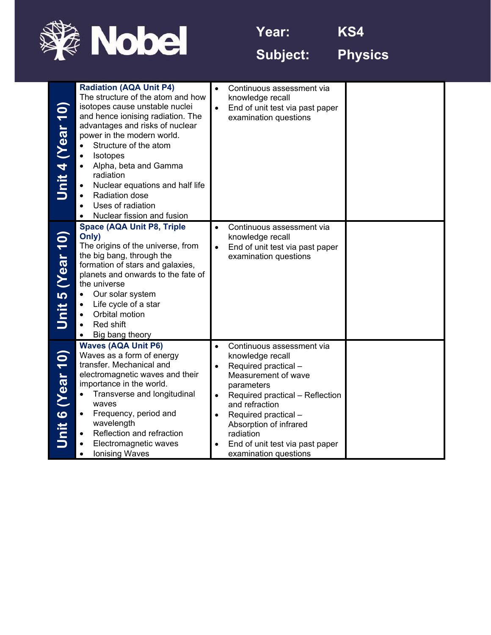

**Year: KS4** 

**Subject: Physics** 

| $\overline{10}$<br><b>Near</b><br>Unit 4                              | <b>Radiation (AQA Unit P4)</b><br>The structure of the atom and how<br>isotopes cause unstable nuclei<br>and hence ionising radiation. The<br>advantages and risks of nuclear<br>power in the modern world.<br>Structure of the atom<br>$\bullet$<br>Isotopes<br>$\bullet$<br>Alpha, beta and Gamma<br>$\bullet$<br>radiation<br>Nuclear equations and half life<br>$\bullet$<br>Radiation dose<br>$\bullet$<br>Uses of radiation<br>$\bullet$<br>Nuclear fission and fusion | $\bullet$ | Continuous assessment via<br>knowledge recall<br>End of unit test via past paper<br>examination questions                                                                                                                                                                                  |  |
|-----------------------------------------------------------------------|------------------------------------------------------------------------------------------------------------------------------------------------------------------------------------------------------------------------------------------------------------------------------------------------------------------------------------------------------------------------------------------------------------------------------------------------------------------------------|-----------|--------------------------------------------------------------------------------------------------------------------------------------------------------------------------------------------------------------------------------------------------------------------------------------------|--|
| $\overline{\overline{\mathbf{0}}}$<br>(Year <sup>-</sup><br>5<br>Unit | <b>Space (AQA Unit P8, Triple</b><br>Only)<br>The origins of the universe, from<br>the big bang, through the<br>formation of stars and galaxies,<br>planets and onwards to the fate of<br>the universe<br>Our solar system<br>$\bullet$<br>Life cycle of a star<br>Orbital motion<br>$\bullet$<br>Red shift<br>$\bullet$<br>Big bang theory<br>$\bullet$                                                                                                                     |           | Continuous assessment via<br>knowledge recall<br>End of unit test via past paper<br>examination questions                                                                                                                                                                                  |  |
| (0)<br><b>Near</b><br>$\bullet$<br>Unit                               | <b>Waves (AQA Unit P6)</b><br>Waves as a form of energy<br>transfer. Mechanical and<br>electromagnetic waves and their<br>importance in the world.<br>Transverse and longitudinal<br>$\bullet$<br>waves<br>Frequency, period and<br>$\bullet$<br>wavelength<br>Reflection and refraction<br>٠<br>Electromagnetic waves<br><b>Ionising Waves</b>                                                                                                                              |           | Continuous assessment via<br>knowledge recall<br>Required practical -<br>Measurement of wave<br>parameters<br>Required practical - Reflection<br>and refraction<br>Required practical -<br>Absorption of infrared<br>radiation<br>End of unit test via past paper<br>examination questions |  |